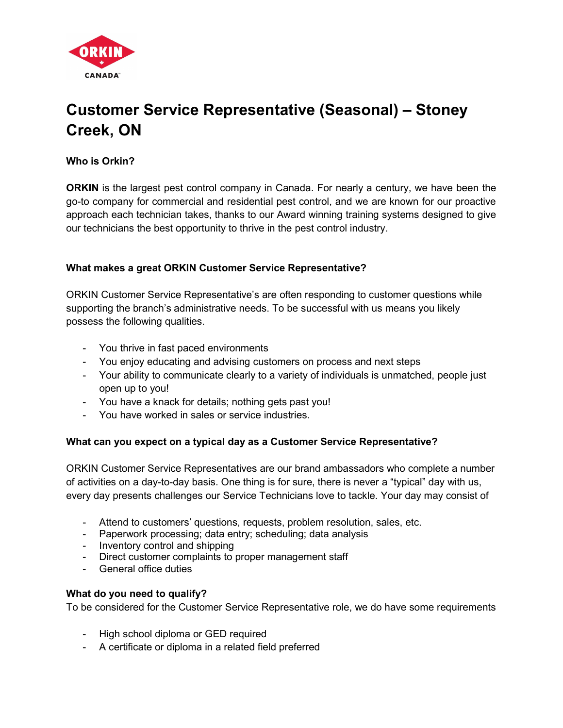

# Customer Service Representative (Seasonal) – Stoney Creek, ON

Who is Orkin?

**ORKIN** is the largest pest control company in Canada. For nearly a century, we have been the go-to company for commercial and residential pest control, and we are known for our proactive approach each technician takes, thanks to our Award winning training systems designed to give our technicians the best opportunity to thrive in the pest control industry.

# What makes a great ORKIN Customer Service Representative?

ORKIN Customer Service Representative's are often responding to customer questions while supporting the branch's administrative needs. To be successful with us means you likely possess the following qualities.

- You thrive in fast paced environments
- You enjoy educating and advising customers on process and next steps
- Your ability to communicate clearly to a variety of individuals is unmatched, people just open up to you!
- You have a knack for details; nothing gets past you!
- You have worked in sales or service industries.

### What can you expect on a typical day as a Customer Service Representative?

ORKIN Customer Service Representatives are our brand ambassadors who complete a number of activities on a day-to-day basis. One thing is for sure, there is never a "typical" day with us, every day presents challenges our Service Technicians love to tackle. Your day may consist of

- Attend to customers' questions, requests, problem resolution, sales, etc.
- Paperwork processing; data entry; scheduling; data analysis
- Inventory control and shipping
- Direct customer complaints to proper management staff
- General office duties

### What do you need to qualify?

To be considered for the Customer Service Representative role, we do have some requirements

- High school diploma or GED required
- A certificate or diploma in a related field preferred